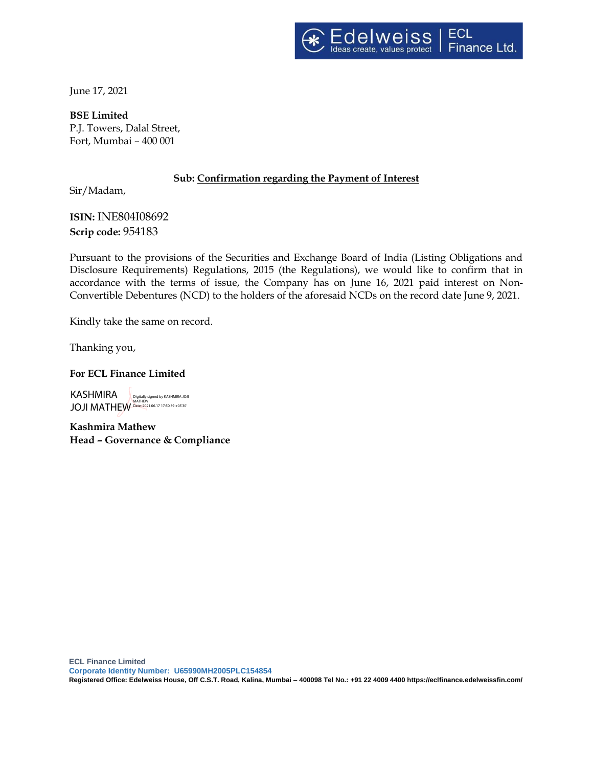

June 17, 2021

**BSE Limited** P.J. Towers, Dalal Street, Fort, Mumbai – 400 001

# **Sub: Confirmation regarding the Payment of Interest**

Sir/Madam,

**ISIN:** INE804I08692 **Scrip code:** 954183

Pursuant to the provisions of the Securities and Exchange Board of India (Listing Obligations and Disclosure Requirements) Regulations, 2015 (the Regulations), we would like to confirm that in accordance with the terms of issue, the Company has on June 16, 2021 paid interest on Non-Convertible Debentures (NCD) to the holders of the aforesaid NCDs on the record date June 9, 2021.

Kindly take the same on record.

Thanking you,

**For ECL Finance Limited** 

KASHMIRA JOJI MATHEW Date: 2021.06.17 17:50:39 +05'30'Digitally signed by KASHMIRA JOJI MATHEW

**Kashmira Mathew Head – Governance & Compliance**